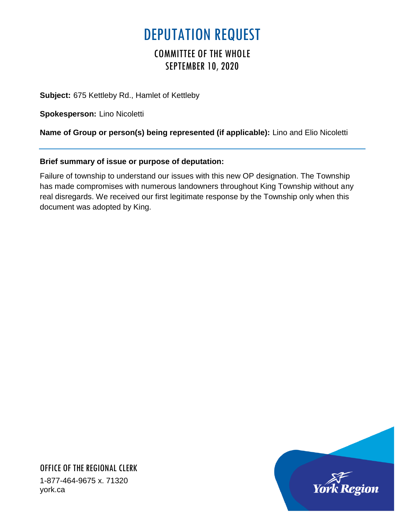## DEPUTATION REQUEST

## COMMITTEE OF THE WHOLE SEPTEMBER 10, 2020

**Subject:** 675 Kettleby Rd., Hamlet of Kettleby

**Spokesperson:** Lino Nicoletti

**Name of Group or person(s) being represented (if applicable):** Lino and Elio Nicoletti

## **Brief summary of issue or purpose of deputation:**

Failure of township to understand our issues with this new OP designation. The Township has made compromises with numerous landowners throughout King Township without any real disregards. We received our first legitimate response by the Township only when this document was adopted by King.



OFFICE OF THE REGIONAL CLERK 1-877-464-9675 x. 71320 york.ca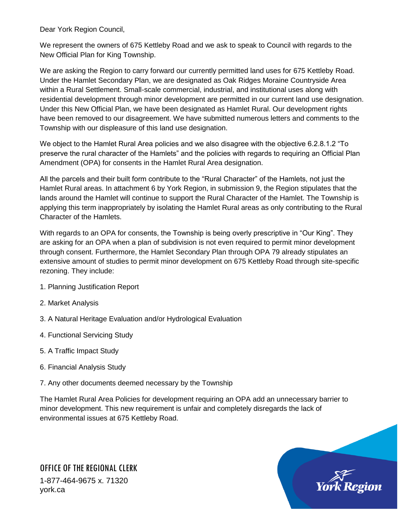Dear York Region Council,

We represent the owners of 675 Kettleby Road and we ask to speak to Council with regards to the New Official Plan for King Township.

We are asking the Region to carry forward our currently permitted land uses for 675 Kettleby Road. Under the Hamlet Secondary Plan, we are designated as Oak Ridges Moraine Countryside Area within a Rural Settlement. Small-scale commercial, industrial, and institutional uses along with residential development through minor development are permitted in our current land use designation. Under this New Official Plan, we have been designated as Hamlet Rural. Our development rights have been removed to our disagreement. We have submitted numerous letters and comments to the Township with our displeasure of this land use designation.

We object to the Hamlet Rural Area policies and we also disagree with the objective 6.2.8.1.2 "To preserve the rural character of the Hamlets" and the policies with regards to requiring an Official Plan Amendment (OPA) for consents in the Hamlet Rural Area designation.

All the parcels and their built form contribute to the "Rural Character" of the Hamlets, not just the Hamlet Rural areas. In attachment 6 by York Region, in submission 9, the Region stipulates that the lands around the Hamlet will continue to support the Rural Character of the Hamlet. The Township is applying this term inappropriately by isolating the Hamlet Rural areas as only contributing to the Rural Character of the Hamlets.

With regards to an OPA for consents, the Township is being overly prescriptive in "Our King". They are asking for an OPA when a plan of subdivision is not even required to permit minor development through consent. Furthermore, the Hamlet Secondary Plan through OPA 79 already stipulates an extensive amount of studies to permit minor development on 675 Kettleby Road through site-specific rezoning. They include:

- 1. Planning Justification Report
- 2. Market Analysis
- 3. A Natural Heritage Evaluation and/or Hydrological Evaluation
- 4. Functional Servicing Study
- 5. A Traffic Impact Study
- 6. Financial Analysis Study
- 7. Any other documents deemed necessary by the Township

The Hamlet Rural Area Policies for development requiring an OPA add an unnecessary barrier to minor development. This new requirement is unfair and completely disregards the lack of environmental issues at 675 Kettleby Road.